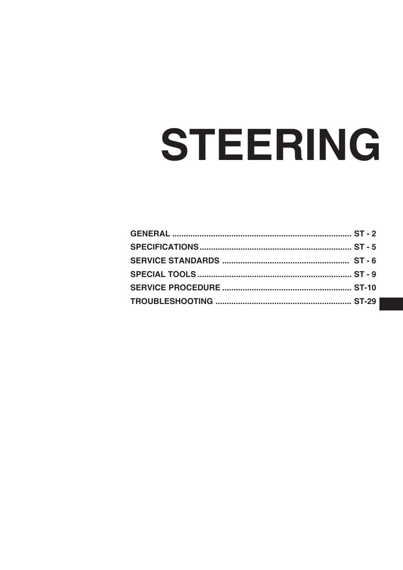# STEERING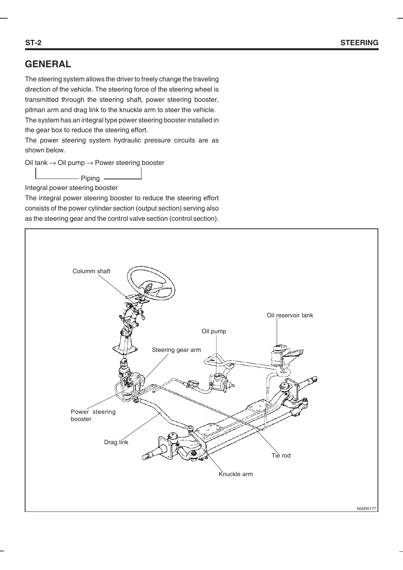# **GENERAL**

The steering system allows the driver to freely change the traveling direction of the vehicle. The steering force of the steering wheel is transmitted through the steering shaft, power steering booster, pitman arm and drag link to the knuckle arm to steer the vehicle. The system has an integral type power steering booster installed in the gear box to reduce the steering effort.

The power steering system hydraulic pressure circuits are as shown below.

Oil tank  $\rightarrow$  Oil pump  $\rightarrow$  Power steering booster

Piping

Integral power steering booster

The integral power steering booster to reduce the steering effort consists of the power cylinder section (output section) serving also as the steering gear and the control valve section (control section).



56AR0177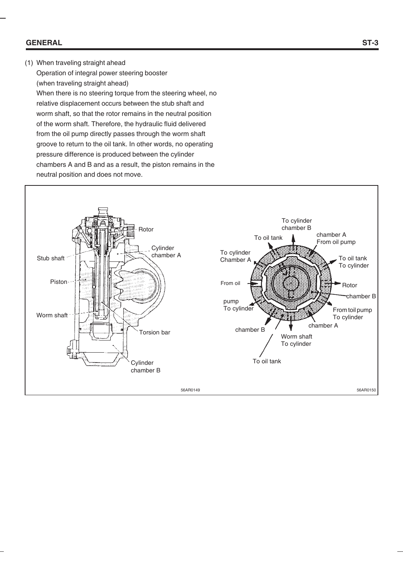#### **GENERAL**

#### (1) When traveling straight ahead

Operation of integral power steering booster (when traveling straight ahead) When there is no steering torque from the steering wheel, no relative displacement occurs between the stub shaft and worm shaft, so that the rotor remains in the neutral position of the worm shaft. Therefore, the hydraulic fluid delivered from the oil pump directly passes through the worm shaft groove to return to the oil tank. In other words, no operating pressure difference is produced between the cylinder chambers A and B and as a result, the piston remains in the neutral position and does not move.

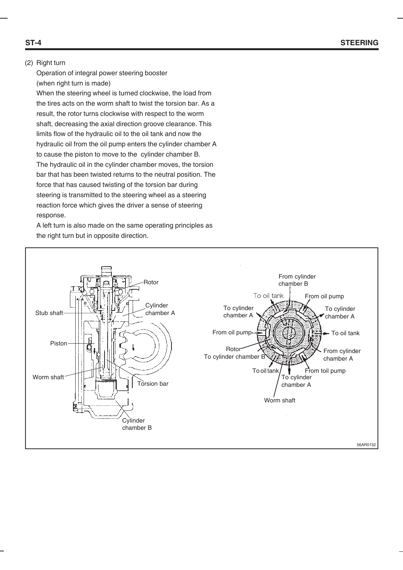#### (2) Right turn

Operation of integral power steering booster (when right turn is made) When the steering wheel is turned clockwise, the load from

the tires acts on the worm shaft to twist the torsion bar. As a result, the rotor turns clockwise with respect to the worm shaft, decreasing the axial direction groove clearance. This limits flow of the hydraulic oil to the oil tank and now the hydraulic oil from the oil pump enters the cylinder chamber A to cause the piston to move to the cylinder chamber B. The hydraulic oil in the cylinder chamber moves, the torsion bar that has been twisted returns to the neutral position. The force that has caused twisting of the torsion bar during steering is transmitted to the steering wheel as a steering reaction force which gives the driver a sense of steering response.

A left turn is also made on the same operating principles as the right turn but in opposite direction.

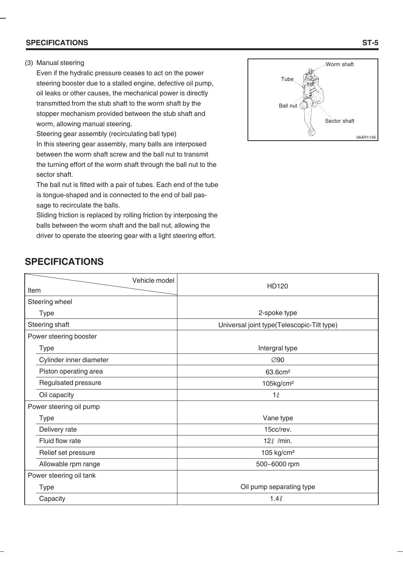#### **SPECIFICATIONS**

#### (3) Manual steering

Even if the hydralic pressure ceases to act on the power steering booster due to a stalled engine, defective oil pump, oil leaks or other causes, the mechanical power is directly transmitted from the stub shaft to the worm shaft by the stopper mechanism provided between the stub shaft and worm, allowing manual steering.

Steering gear assembly (recirculating ball type) In this steering gear assembly, many balls are interposed between the worm shaft screw and the ball nut to transmit the turning effort of the worm shaft through the ball nut to the sector shaft.

The ball nut is fitted with a pair of tubes. Each end of the tube is tongue-shaped and is connected to the end of ball passage to recirculate the balls.

Sliding friction is replaced by rolling friction by interposing the balls between the worm shaft and the ball nut, allowing the driver to operate the steering gear with a light steering effort.



#### 2-spoke type Universal joint type(Telescopic-Tilt type) Intergral type ∅90 63.6cm² 105kg/cm²  $1<sub>l</sub>$ Vane type 15cc/rev. 12*ℓ* /min. 105 kg/cm² 500~6000 rpm Oil pump separating type  $1.4<sub>l</sub>$ Vehicle model Item Steering wheel Type Steering shaft Power steering booster Type Cylinder inner diameter Piston operating area Regulsated pressure Oil capacity Power steering oil pump Type Delivery rate Fluid flow rate Relief set pressure Allowable rpm range Power steering oil tank Type **Capacity** HD120

# **SPECIFICATIONS**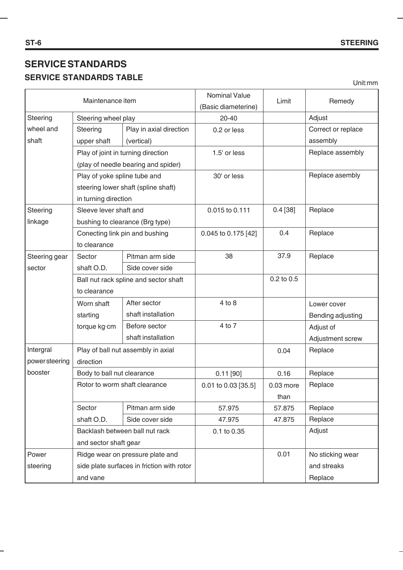# **SERVICE STANDARDS SERVICE STANDARDS TABLE**

Unit:mm

| Maintenance item               |                              | <b>Nominal Value</b>                       | Limit                        | Remedy     |                    |
|--------------------------------|------------------------------|--------------------------------------------|------------------------------|------------|--------------------|
| Steering                       | Steering wheel play          |                                            | (Basic diameterine)<br>20-40 |            | Adjust             |
| wheel and                      | Steering                     | Play in axial direction                    | 0.2 or less                  |            | Correct or replace |
| shaft                          | upper shaft                  | (vertical)                                 |                              |            | assembly           |
|                                |                              | Play of joint in turning direction         | 1.5' or less                 |            | Replace assembly   |
|                                |                              | (play of needle bearing and spider)        |                              |            |                    |
|                                | Play of yoke spline tube and |                                            | 30' or less                  |            | Replace asembly    |
|                                |                              | steering lower shaft (spline shaft)        |                              |            |                    |
|                                | in turning direction         |                                            |                              |            |                    |
| Steering                       | Sleeve lever shaft and       |                                            | 0.015 to 0.111               | 0.4 [38]   | Replace            |
| linkage                        |                              | bushing to clearance (Brg type)            |                              |            |                    |
|                                |                              | Conecting link pin and bushing             | 0.045 to 0.175 [42]          | 0.4        | Replace            |
|                                | to clearance                 |                                            |                              |            |                    |
| Steering gear                  | Sector                       | Pitman arm side                            | 38                           | 37.9       | Replace            |
| sector                         | shaft O.D.                   | Side cover side                            |                              |            |                    |
|                                |                              | Ball nut rack spline and sector shaft      |                              | 0.2 to 0.5 |                    |
|                                | to clearance                 |                                            |                              |            |                    |
|                                | Worn shaft                   | After sector                               | 4 to 8                       |            | Lower cover        |
|                                | starting                     | shaft installation                         |                              |            | Bending adjusting  |
|                                | torque kg·cm                 | Before sector                              | 4 to 7                       |            | Adjust of          |
|                                |                              | shaft installation                         |                              |            | Adjustment screw   |
| Intergral                      |                              | Play of ball nut assembly in axial         |                              | 0.04       | Replace            |
| powersteering                  | direction                    |                                            |                              |            |                    |
| booster                        | Body to ball nut clearance   |                                            | $0.11$ [90]                  | 0.16       | Replace            |
| Rotor to worm shaft clearance  |                              | 0.01 to 0.03 [35.5]                        | $0.03$ more                  | Replace    |                    |
|                                |                              |                                            |                              | than       |                    |
|                                | Sector                       | Pitman arm side                            | 57.975                       | 57.875     | Replace            |
|                                | shaft O.D.                   | Side cover side                            | 47.975                       | 47.875     | Replace            |
| Backlash between ball nut rack |                              | 0.1 to 0.35                                |                              | Adjust     |                    |
|                                | and sector shaft gear        |                                            |                              |            |                    |
| Power                          |                              | Ridge wear on pressure plate and           |                              | 0.01       | No sticking wear   |
| steering                       |                              | side plate surfaces in friction with rotor |                              |            | and streaks        |
|                                | and vane                     |                                            |                              |            | Replace            |

 $\overline{\phantom{0}}$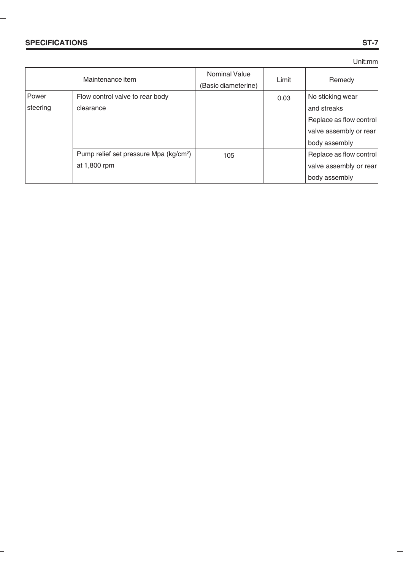÷

#### Unit:mm

|          | Maintenance item                                   | <b>Nominal Value</b><br>(Basic diameterine) | Limit | Remedy                  |
|----------|----------------------------------------------------|---------------------------------------------|-------|-------------------------|
| Power    | Flow control valve to rear body                    |                                             | 0.03  | No sticking wear        |
| steering | clearance                                          |                                             |       | and streaks             |
|          |                                                    |                                             |       | Replace as flow control |
|          |                                                    |                                             |       | valve assembly or rear  |
|          |                                                    |                                             |       | body assembly           |
|          | Pump relief set pressure Mpa (kg/cm <sup>2</sup> ) | 105                                         |       | Replace as flow control |
|          | at 1,800 rpm                                       |                                             |       | valve assembly or rear  |
|          |                                                    |                                             |       | body assembly           |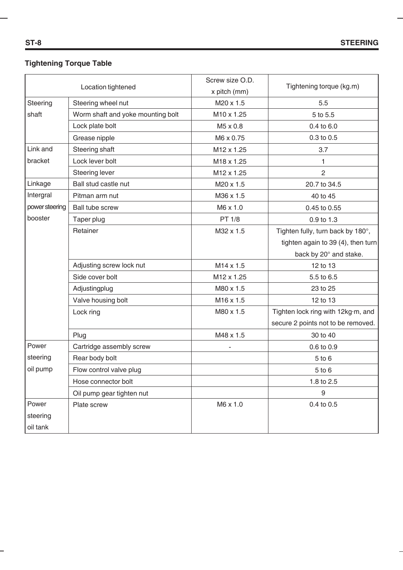## **Tightening Torque Table**

|                | Location tightened                | Screw size O.D.<br>x pitch (mm) | Tightening torque (kg.m)           |
|----------------|-----------------------------------|---------------------------------|------------------------------------|
| Steering       | Steering wheel nut                | M20 x 1.5                       | 5.5                                |
| shaft          | Worm shaft and yoke mounting bolt | M10 x 1.25                      | 5 to 5.5                           |
|                | Lock plate bolt                   | M5 x 0.8                        | 0.4 to 6.0                         |
|                | Grease nipple                     | M6 x 0.75                       | 0.3 to 0.5                         |
| Link and       | Steering shaft                    | M12 x 1.25                      | 3.7                                |
| bracket        | Lock lever bolt                   | M18 x 1.25                      | 1                                  |
|                | Steering lever                    | M <sub>12</sub> x 1.25          | $\mathbf{2}$                       |
| Linkage        | Ball stud castle nut              | M20 x 1.5                       | 20.7 to 34.5                       |
| Intergral      | Pitman arm nut                    | M36 x 1.5                       | 40 to 45                           |
| power steering | <b>Ball tube screw</b>            | M6 x 1.0                        | 0.45 to 0.55                       |
| booster        | Taper plug                        | PT 1/8                          | 0.9 to 1.3                         |
|                | Retainer                          | M32 x 1.5                       | Tighten fully, turn back by 180°,  |
|                |                                   |                                 | tighten again to 39 (4), then turn |
|                |                                   |                                 | back by 20° and stake.             |
|                | Adjusting screw lock nut          | M14 x 1.5                       | 12 to 13                           |
|                | Side cover bolt                   | M12 x 1.25                      | 5.5 to 6.5                         |
|                | Adjustingplug                     | M80 x 1.5                       | 23 to 25                           |
|                | Valve housing bolt                | M16 x 1.5                       | 12 to 13                           |
|                | Lock ring                         | M80 x 1.5                       | Tighten lock ring with 12kg·m, and |
|                |                                   |                                 | secure 2 points not to be removed. |
|                | Plug                              | M48 x 1.5                       | 30 to 40                           |
| Power          | Cartridge assembly screw          |                                 | 0.6 to 0.9                         |
| steering       | Rear body bolt                    |                                 | $5$ to $6$                         |
| oil pump       | Flow control valve plug           |                                 | $5$ to $6$                         |
|                | Hose connector bolt               |                                 | 1.8 to 2.5                         |
|                | Oil pump gear tighten nut         |                                 | 9                                  |
| Power          | Plate screw                       | M6 x 1.0                        | 0.4 to 0.5                         |
| steering       |                                   |                                 |                                    |
| oil tank       |                                   |                                 |                                    |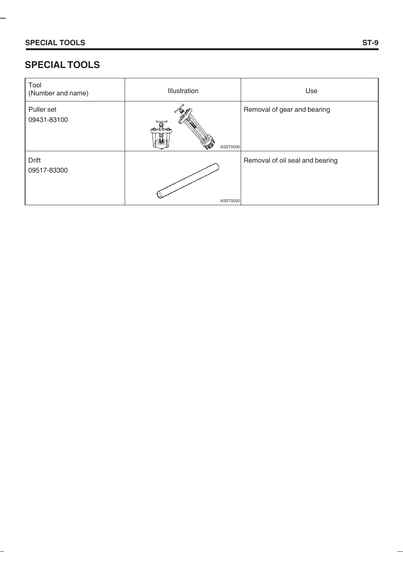÷

# **SPECIAL TOOLS**

| Tool<br>(Number and name) | Illustration | Use                             |
|---------------------------|--------------|---------------------------------|
| Puller set<br>09431-83100 | ASST0030     | Removal of gear and bearing     |
| Drift<br>09517-83300      | ASST0020     | Removal of oil seal and bearing |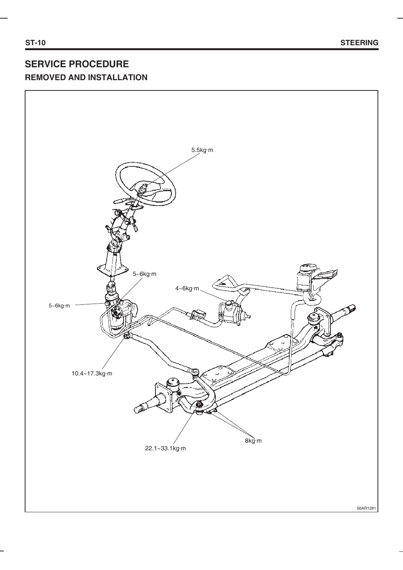# **SERVICE PROCEDURE REMOVED AND INSTALLATION**

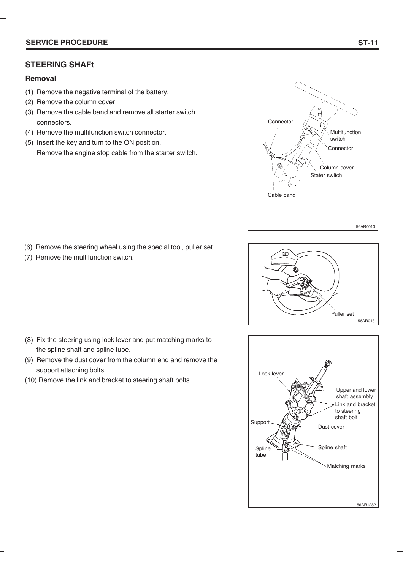#### **SERVICE PROCEDURE**

#### **STEERING SHAFt**

#### **Removal**

- (1) Remove the negative terminal of the battery.
- (2) Remove the column cover.

(7) Remove the multifunction switch.

- (3) Remove the cable band and remove all starter switch connectors.
- (4) Remove the multifunction switch connector.
- (5) Insert the key and turn to the ON position. Remove the engine stop cable from the starter switch.





- Lock lever Support Upper and lower shaft assembly **Spline** .<br>huhe Link and bracket to steering shaft bolt Dust cover Spline shaft Matching marks 56AR1282
- (8) Fix the steering using lock lever and put matching marks to the spline shaft and spline tube.

(6) Remove the steering wheel using the special tool, puller set.

- (9) Remove the dust cover from the column end and remove the support attaching bolts.
- (10) Remove the link and bracket to steering shaft bolts.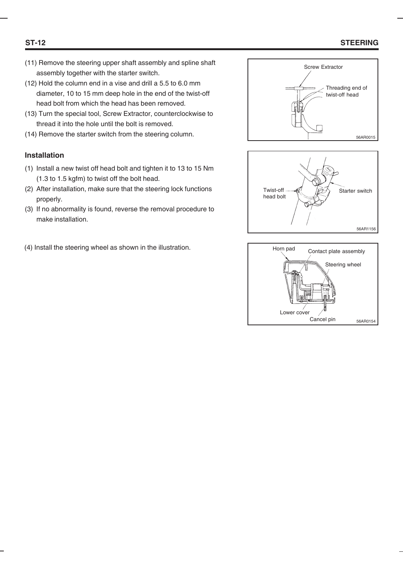#### **ST-12 STEERING**

- (11) Remove the steering upper shaft assembly and spline shaft assembly together with the starter switch.
- (12) Hold the column end in a vise and drill a 5.5 to 6.0 mm diameter, 10 to 15 mm deep hole in the end of the twist-off head bolt from which the head has been removed.
- (13) Turn the special tool, Screw Extractor, counterclockwise to thread it into the hole until the bolt is removed.
- (14) Remove the starter switch from the steering column.

#### **Installation**

- (1) Install a new twist off head bolt and tighten it to 13 to 15 Nm (1.3 to 1.5 kgfm) to twist off the bolt head.
- (2) After installation, make sure that the steering lock functions properly.
- (3) If no abnormality is found, reverse the removal procedure to make installation.
- (4) Install the steering wheel as shown in the illustration.





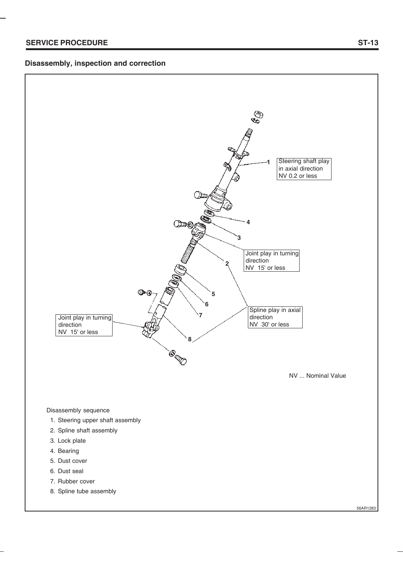#### **Disassembly, inspection and correction**



- 1. Steering upper shaft assembly
- 2. Spline shaft assembly
- 3. Lock plate
- 4. Bearing
- 5. Dust cover
- 6. Dust seal
- 7. Rubber cover
- 8. Spline tube assembly

56AR1283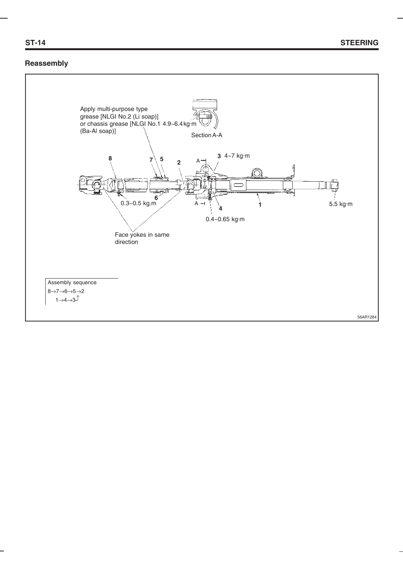#### **Reassembly**

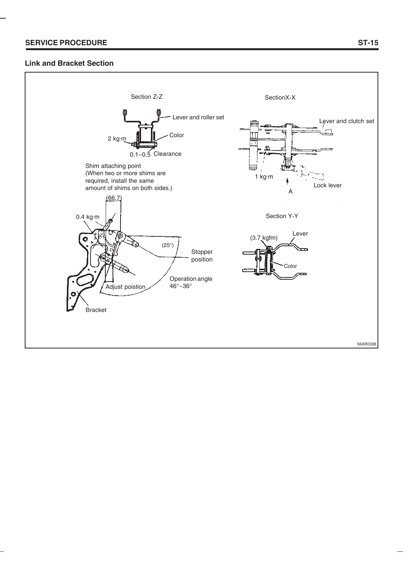#### **Link and Bracket Section**

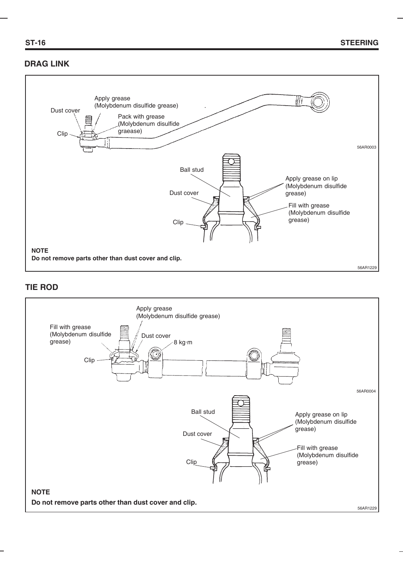## **DRAG LINK**



#### **TIE ROD**

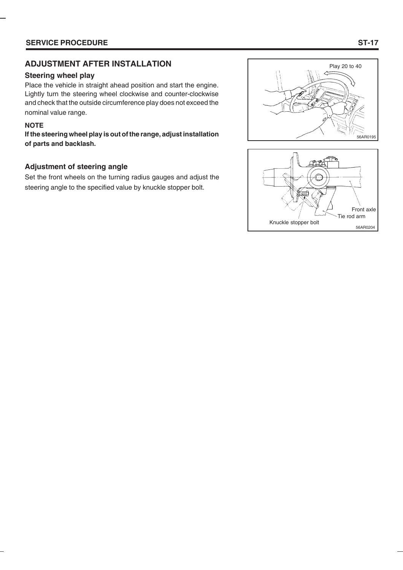# **ADJUSTMENT AFTER INSTALLATION**

#### **Steering wheel play**

Place the vehicle in straight ahead position and start the engine. Lightly turn the steering wheel clockwise and counter-clockwise and check that the outside circumference play does not exceed the nominal value range.

#### **NOTE**

**If the steering wheel play is out of the range, adjust installation of parts and backlash.**

#### **Adjustment of steering angle**

Set the front wheels on the turning radius gauges and adjust the steering angle to the specified value by knuckle stopper bolt.



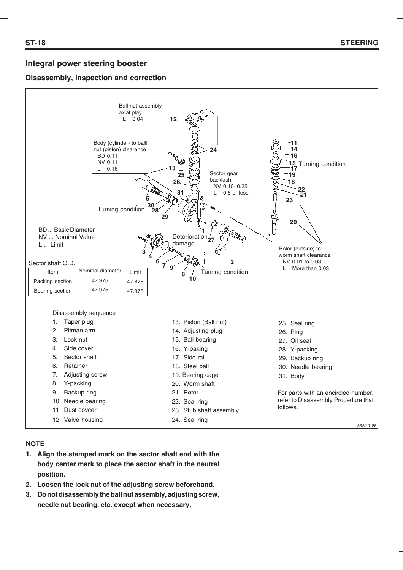#### **Integral power steering booster**

#### **Disassembly, inspection and correction**



#### **NOTE**

- **1. Align the stamped mark on the sector shaft end with the body center mark to place the sector shaft in the neutral position.**
- **2. Loosen the lock nut of the adjusting screw beforehand.**
- **3. Do not disassembly the ball nut assembly, adjusting screw, needle nut bearing, etc. except when necessary.**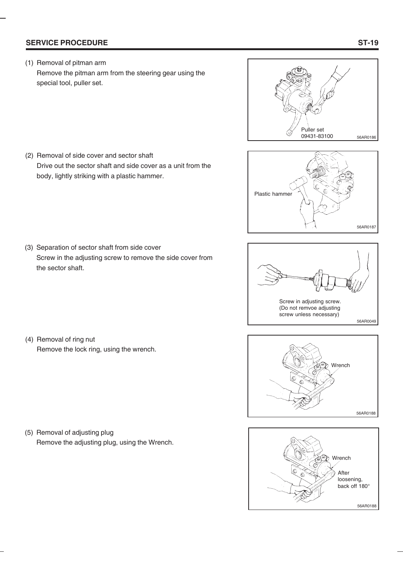#### **SERVICE PROCEDURE**

(1) Removal of pitman arm Remove the pitman arm from the steering gear using the special tool, puller set.

Drive out the sector shaft and side cover as a unit from the

Screw in the adjusting screw to remove the side cover from







Wrench

56AR0188



(3) Separation of sector shaft from side cover

the sector shaft.

(2) Removal of side cover and sector shaft

body, lightly striking with a plastic hammer.

Remove the lock ring, using the wrench.



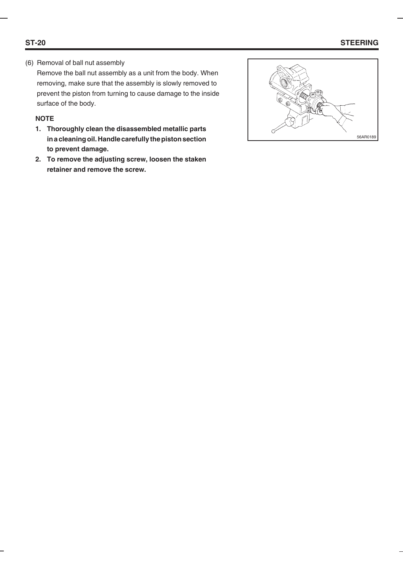## **ST-20 STEERING**

(6) Removal of ball nut assembly

Remove the ball nut assembly as a unit from the body. When removing, make sure that the assembly is slowly removed to prevent the piston from turning to cause damage to the inside surface of the body.

#### **NOTE**

- **1. Thoroughly clean the disassembled metallic parts in a cleaning oil. Handle carefully the piston section to prevent damage.**
- **2. To remove the adjusting screw, loosen the staken retainer and remove the screw.**

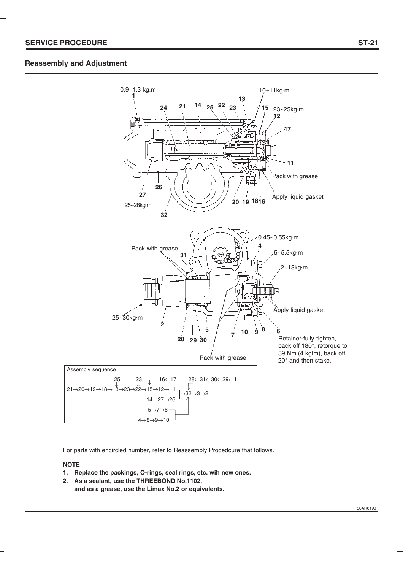#### **Reassembly and Adjustment**



For parts with encircled number, refer to Reassembly Procedcure that follows.

#### **NOTE**

- **1. Replace the packings, O-rings, seal rings, etc. wih new ones.**
- **2. As a sealant, use the THREEBOND No.1102, and as a grease, use the Limax No.2 or equivalents.**

**ST-21**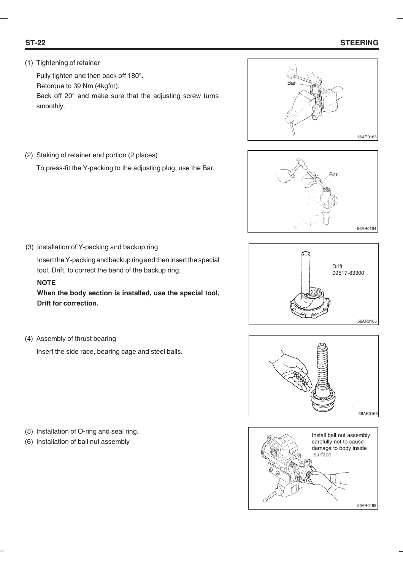### **ST-22 STEERING**

#### (1) Tightening of retainer

Fully tighten and then back off 180°. Retorque to 39 Nm (4kgfm). Back off 20° and make sure that the adjusting screw turns smoothly.



(2) Staking of retainer end portion (2 places)

To press-fit the Y-packing to the adjusting plug, use the Bar.



(3) Installation of Y-packing and backup ring

Insert the Y-packing and backup ring and then insert the special tool, Drift, to correct the bend of the backup ring.

#### **NOTE**

**When the body section is installed, use the special tool, Drift for correction.**

(4) Assembly of thrust bearing

Insert the side race, bearing cage and steel balls.



Drift 09517-83300

56AR0165



- (5) Installation of O-ring and seal ring.
- (6) Installation of ball nut assembly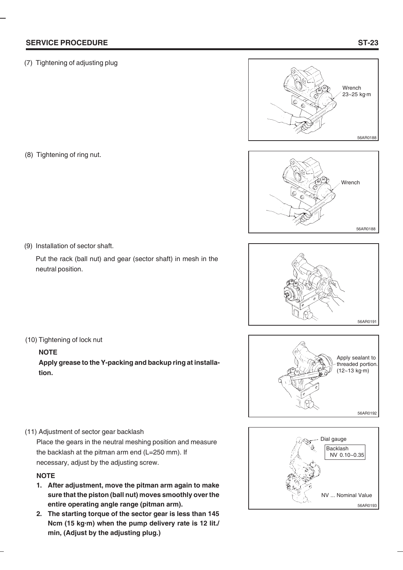#### **SERVICE PROCEDURE**

(7) Tightening of adjusting plug

(8) Tightening of ring nut.

(9) Installation of sector shaft.

(10) Tightening of lock nut

**NOTE**

**tion.**

Put the rack (ball nut) and gear (sector shaft) in mesh in the neutral position.

(11) Adjustment of sector gear backlash

Place the gears in the neutral meshing position and measure the backlash at the pitman arm end (L=250 mm). If necessary, adjust by the adjusting screw.

**Apply grease to the Y-packing and backup ring at installa-**

#### **NOTE**

- **1. After adjustment, move the pitman arm again to make sure that the piston (ball nut) moves smoothly over the entire operating angle range (pitman arm).**
- **2. The starting torque of the sector gear is less than 145 Ncm (15 kg·m) when the pump delivery rate is 12 lit./ min, (Adjust by the adjusting plug.)**











# **ST-23**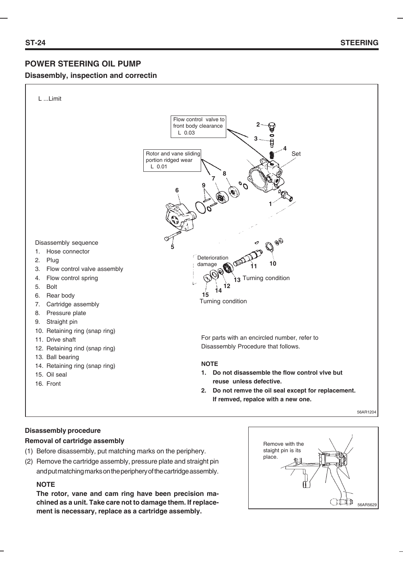### **POWER STEERING OIL PUMP**

#### **Disasembly, inspection and correctin**



#### **Disassembly procedure**

#### **Removal of cartridge assembly**

- (1) Before disassembly, put matching marks on the periphery.
- (2) Remove the cartridge assembly, pressure plate and straight pin and put matching marks on the periphery of the cartridge assembly.

#### **NOTE**

**The rotor, vane and cam ring have been precision machined as a unit. Take care not to damage them. If replacement is necessary, replace as a cartridge assembly.**

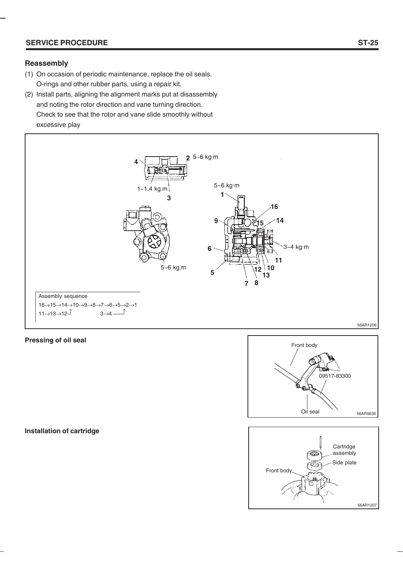#### **SERVICE PROCEDURE**

#### **Reassembly**

- (1) On occasion of periodic maintenance, replace the oil seals. O-rings and other rubber parts, using a repair kit.
- (2) Install parts, aligning the alignment marks put at disassembly and noting the rotor direction and vane turning direction. Check to see that the rotor and vane slide smoothly without excessive play



#### **Pressing of oil seal**

**Installation of cartridge**



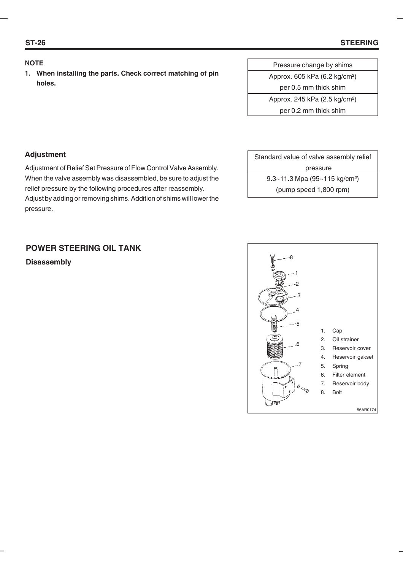#### **NOTE**

**1. When installing the parts. Check correct matching of pin holes.**

| Pressure change by shims                  |
|-------------------------------------------|
| Approx. 605 kPa (6.2 kg/cm <sup>2</sup> ) |
| per 0.5 mm thick shim                     |
| Approx. 245 kPa (2.5 kg/cm <sup>2</sup> ) |
| per 0.2 mm thick shim                     |

#### **Adjustment**

Adjustment of Relief Set Pressure of Flow Control Valve Assembly. When the valve assembly was disassembled, be sure to adjust the relief pressure by the following procedures after reassembly. Adjust by adding or removing shims. Addition of shims will lower the pressure.

| Standard value of valve assembly relief   |
|-------------------------------------------|
| pressure                                  |
| 9.3~11.3 Mpa (95~115 kg/cm <sup>2</sup> ) |
| (pump speed 1,800 rpm)                    |

## **POWER STEERING OIL TANK**

**Disassembly**

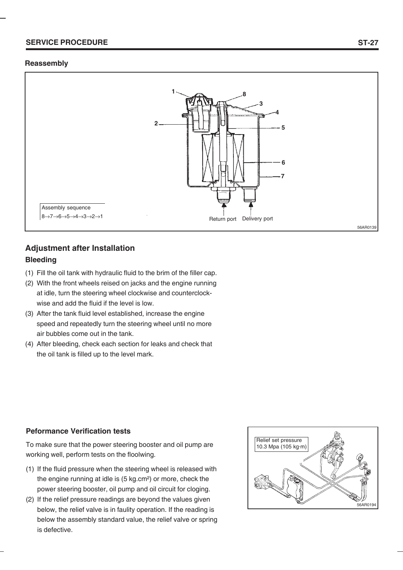#### **SERVICE PROCEDURE**

#### **Reassembly**



## **Adjustment after Installation Bleeding**

- (1) Fill the oil tank with hydraulic fluid to the brim of the filler cap.
- (2) With the front wheels reised on jacks and the engine running at idle, turn the steering wheel clockwise and counterclockwise and add the fluid if the level is low.
- (3) After the tank fluid level established, increase the engine speed and repeatedly turn the steering wheel until no more air bubbles come out in the tank.
- (4) After bleeding, check each section for leaks and check that the oil tank is filled up to the level mark.

#### **Peformance Verification tests**

To make sure that the power steering booster and oil pump are working well, perform tests on the floolwing.

- (1) If the fluid pressure when the steering wheel is released with the engine running at idle is (5 kg.cm²) or more, check the power steering booster, oil pump and oil circuit for cloging.
- (2) If the relief pressure readings are beyond the values given below, the relief valve is in faulity operation. If the reading is below the assembly standard value, the relief valve or spring is defective.

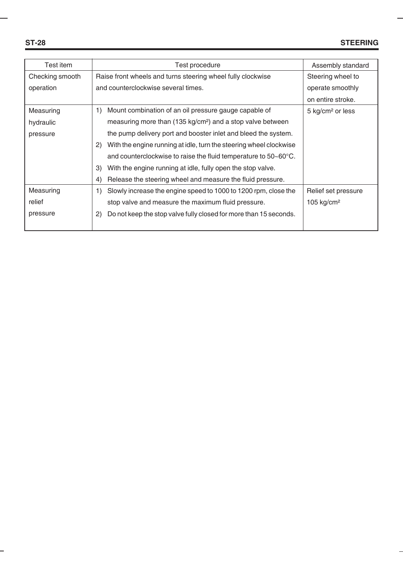| Test item       | Test procedure                                                            | Assembly standard           |
|-----------------|---------------------------------------------------------------------------|-----------------------------|
| Checking smooth | Raise front wheels and turns steering wheel fully clockwise               | Steering wheel to           |
| operation       | and counterclockwise several times.                                       | operate smoothly            |
|                 |                                                                           | on entire stroke.           |
| Measuring       | Mount combination of an oil pressure gauge capable of<br>1)               | $5 \text{ kg/cm}^2$ or less |
| hydraulic       | measuring more than (135 kg/cm <sup>2</sup> ) and a stop valve between    |                             |
| pressure        | the pump delivery port and booster inlet and bleed the system.            |                             |
|                 | With the engine running at idle, turn the steering wheel clockwise<br>2)  |                             |
|                 | and counterclockwise to raise the fluid temperature to $50~60^{\circ}$ C. |                             |
|                 | With the engine running at idle, fully open the stop valve.<br>3)         |                             |
|                 | Release the steering wheel and measure the fluid pressure.<br>4)          |                             |
| Measuring       | Slowly increase the engine speed to 1000 to 1200 rpm, close the<br>1)     | Relief set pressure         |
| relief          | stop valve and measure the maximum fluid pressure.                        | 105 kg/cm <sup>2</sup>      |
| pressure        | Do not keep the stop valve fully closed for more than 15 seconds.<br>2)   |                             |
|                 |                                                                           |                             |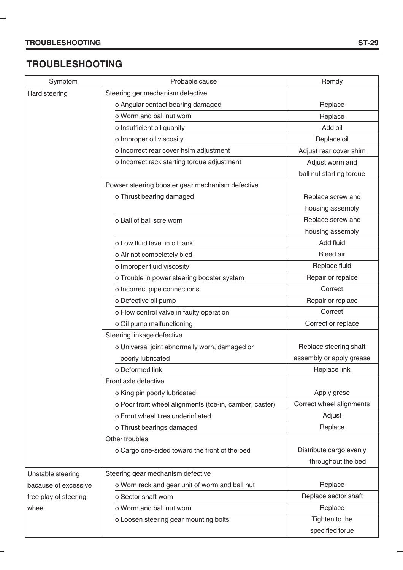÷

**-**

# **TROUBLESHOOTING**

| Symptom               | Probable cause                                         | Remdy                    |
|-----------------------|--------------------------------------------------------|--------------------------|
| Hard steering         | Steering ger mechanism defective                       |                          |
|                       | o Angular contact bearing damaged                      | Replace                  |
|                       | o Worm and ball nut worn                               | Replace                  |
|                       | o Insufficient oil quanity                             | Add oil                  |
|                       | o Improper oil viscosity                               | Replace oil              |
|                       | o Incorrect rear cover hsim adjustment                 | Adjust rear cover shim   |
|                       | o Incorrect rack starting torque adjustment            | Adjust worm and          |
|                       |                                                        | ball nut starting torque |
|                       | Powser steering booster gear mechanism defective       |                          |
|                       | o Thrust bearing damaged                               | Replace screw and        |
|                       |                                                        | housing assembly         |
|                       | o Ball of ball scre worn                               | Replace screw and        |
|                       |                                                        | housing assembly         |
|                       | o Low fluid level in oil tank                          | Add fluid                |
|                       | o Air not compeletely bled                             | <b>Bleed</b> air         |
|                       | o Improper fluid viscosity                             | Replace fluid            |
|                       | o Trouble in power steering booster system             | Repair or repalce        |
|                       | o Incorrect pipe connections                           | Correct                  |
|                       | o Defective oil pump                                   | Repair or replace        |
|                       | o Flow control valve in faulty operation               | Correct                  |
|                       | o Oil pump malfunctioning                              | Correct or replace       |
|                       | Steering linkage defective                             |                          |
|                       | o Universal joint abnormally worn, damaged or          | Replace steering shaft   |
|                       | poorly lubricated                                      | assembly or apply grease |
|                       | o Deformed link                                        | Replace link             |
|                       | Front axle defective                                   |                          |
|                       | o King pin poorly lubricated                           | Apply grese              |
|                       | o Poor front wheel alignments (toe-in, camber, caster) | Correct wheel alignments |
|                       | o Front wheel tires underinflated                      | Adjust                   |
|                       | o Thrust bearings damaged                              | Replace                  |
|                       | Other troubles                                         |                          |
|                       | o Cargo one-sided toward the front of the bed          | Distribute cargo evenly  |
|                       |                                                        | throughout the bed       |
| Unstable steering     | Steering gear mechanism defective                      |                          |
| bacause of excessive  | o Worn rack and gear unit of worm and ball nut         | Replace                  |
| free play of steering | o Sector shaft worn                                    | Replace sector shaft     |
| wheel                 | o Worm and ball nut worn                               | Replace                  |
|                       | o Loosen steering gear mounting bolts                  | Tighten to the           |
|                       |                                                        | specified torue          |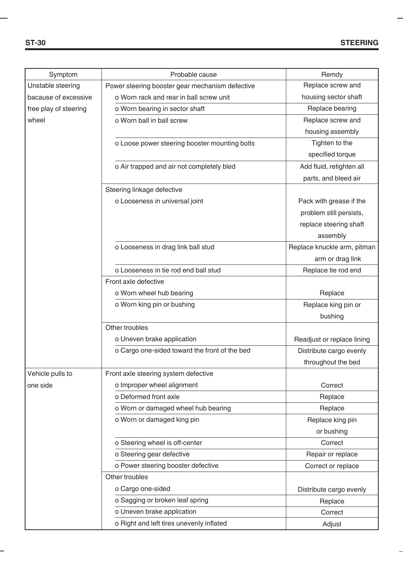| Symptom               | Probable cause                                  | Remdy                       |
|-----------------------|-------------------------------------------------|-----------------------------|
| Unstable steering     | Power steering booster gear mechanism defective | Replace screw and           |
| bacause of excessive  | o Worn rack and rear in ball screw unit         | housing sector shaft        |
| free play of steering | o Worn bearing in sector shaft                  | Replace bearing             |
| wheel                 | o Worn ball in ball screw                       | Replace screw and           |
|                       |                                                 | housing assembly            |
|                       | o Loose power steering booster mounting bolts   | Tighten to the              |
|                       |                                                 | specified torque            |
|                       | o Air trapped and air not completely bled       | Add fluid, retighten all    |
|                       |                                                 | parts, and bleed air        |
|                       | Steering linkage defective                      |                             |
|                       | o Looseness in universal joint                  | Pack with grease if the     |
|                       |                                                 | problem still persists,     |
|                       |                                                 | replace steering shaft      |
|                       |                                                 | assembly                    |
|                       | o Looseness in drag link ball stud              | Replace knuckle arm, pitman |
|                       |                                                 | arm or drag link            |
|                       | o Looseness in tie rod end ball stud            | Replace tie rod end         |
|                       | Front axle defective                            |                             |
|                       | o Worn wheel hub bearing                        | Replace                     |
|                       | o Worn king pin or bushing                      | Replace king pin or         |
|                       |                                                 | bushing                     |
|                       | Other troubles                                  |                             |
|                       | o Uneven brake application                      | Readjust or replace lining  |
|                       | o Cargo one-sided toward the front of the bed   | Distribute cargo evenly     |
|                       |                                                 | throughout the bed          |
| Vehicle pulls to      | Front axle steering system defective            |                             |
| one side              | o Improper wheel alignment                      | Correct                     |
|                       | o Deformed front axle                           | Replace                     |
|                       | o Worn or damaged wheel hub bearing             | Replace                     |
|                       | o Worn or damaged king pin                      | Replace king pin            |
|                       |                                                 | or bushing                  |
|                       | o Steering wheel is off-center                  | Correct                     |
|                       | o Steering gear defective                       | Repair or replace           |
|                       | o Power steering booster defective              | Correct or replace          |
|                       | Other troubles                                  |                             |
|                       | o Cargo one-sided                               | Distribute cargo evenly     |
|                       | o Sagging or broken leaf spring                 | Replace                     |
|                       | o Uneven brake application                      | Correct                     |
|                       | o Right and left tires unevenly inflated        | Adjust                      |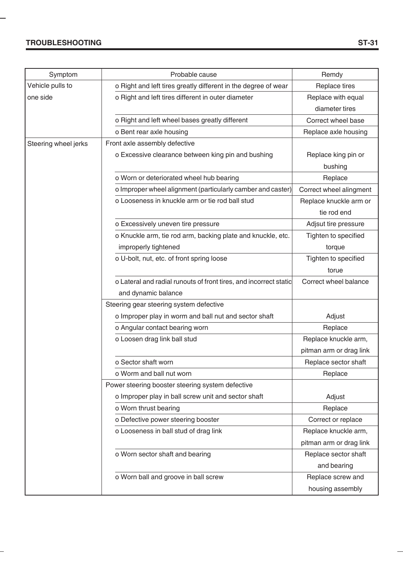## **TROUBLESHOOTING**

L,

÷

| Symptom              | Probable cause                                                    | Remdy                   |
|----------------------|-------------------------------------------------------------------|-------------------------|
| Vehicle pulls to     | o Right and left tires greatly different in the degree of wear    | Replace tires           |
| one side             | o Right and left tires different in outer diameter                | Replace with equal      |
|                      |                                                                   | diameter tires          |
|                      | o Right and left wheel bases greatly different                    | Correct wheel base      |
|                      | o Bent rear axle housing                                          | Replace axle housing    |
| Steering wheel jerks | Front axle assembly defective                                     |                         |
|                      | o Excessive clearance between king pin and bushing                | Replace king pin or     |
|                      |                                                                   | bushing                 |
|                      | o Worn or deteriorated wheel hub bearing                          | Replace                 |
|                      | o Improper wheel alignment (particularly camber and caster)       | Correct wheel alingment |
|                      | o Looseness in knuckle arm or tie rod ball stud                   | Replace knuckle arm or  |
|                      |                                                                   | tie rod end             |
|                      | o Excessively uneven tire pressure                                | Adjsut tire pressure    |
|                      | o Knuckle arm, tie rod arm, backing plate and knuckle, etc.       | Tighten to specified    |
|                      | improperly tightened                                              | torque                  |
|                      | o U-bolt, nut, etc. of front spring loose                         | Tighten to specified    |
|                      |                                                                   | torue                   |
|                      | o Lateral and radial runouts of front tires, and incorrect static | Correct wheel balance   |
|                      | and dynamic balance                                               |                         |
|                      | Steering gear steering system defective                           |                         |
|                      | o Improper play in worm and ball nut and sector shaft             | Adjust                  |
|                      | o Angular contact bearing worn                                    | Replace                 |
|                      | o Loosen drag link ball stud                                      | Replace knuckle arm,    |
|                      |                                                                   | pitman arm or drag link |
|                      | o Sector shaft worn                                               | Replace sector shaft    |
|                      | o Worm and ball nut worn                                          | Replace                 |
|                      | Power steering booster steering system defective                  |                         |
|                      | o Improper play in ball screw unit and sector shaft               | Adjust                  |
|                      | o Worn thrust bearing                                             | Replace                 |
|                      | o Defective power steering booster                                | Correct or replace      |
|                      | o Looseness in ball stud of drag link                             | Replace knuckle arm,    |
|                      |                                                                   | pitman arm or drag link |
|                      | o Worn sector shaft and bearing                                   | Replace sector shaft    |
|                      |                                                                   | and bearing             |
|                      | o Worn ball and groove in ball screw                              | Replace screw and       |
|                      |                                                                   | housing assembly        |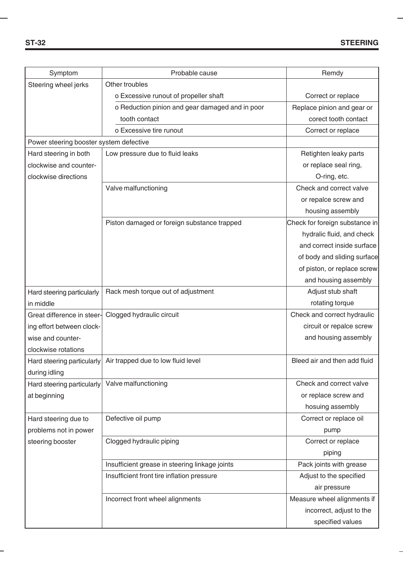| Symptom                                 | Probable cause                                  | Remdy                          |
|-----------------------------------------|-------------------------------------------------|--------------------------------|
| Steering wheel jerks                    | Other troubles                                  |                                |
|                                         | o Excessive runout of propeller shaft           | Correct or replace             |
|                                         | o Reduction pinion and gear damaged and in poor | Replace pinion and gear or     |
|                                         | tooth contact                                   | corect tooth contact           |
|                                         | o Excessive tire runout                         | Correct or replace             |
| Power steering booster system defective |                                                 |                                |
| Hard steering in both                   | Low pressure due to fluid leaks                 | Retighten leaky parts          |
| clockwise and counter-                  |                                                 | or replace seal ring,          |
| clockwise directions                    |                                                 | O-ring, etc.                   |
|                                         | Valve malfunctioning                            | Check and correct valve        |
|                                         |                                                 | or repalce screw and           |
|                                         |                                                 | housing assembly               |
|                                         | Piston damaged or foreign substance trapped     | Check for foreign substance in |
|                                         |                                                 | hydralic fluid, and check      |
|                                         |                                                 | and correct inside surface     |
|                                         |                                                 | of body and sliding surface    |
|                                         |                                                 | of piston, or replace screw    |
|                                         |                                                 | and housing assembly           |
| Hard steering particularly              | Rack mesh torque out of adjustment              | Adjust stub shaft              |
| in middle                               |                                                 | rotating torque                |
| Great difference in steer-              | Clogged hydraulic circuit                       | Check and correct hydraulic    |
| ing effort between clock-               |                                                 | circuit or repalce screw       |
| wise and counter-                       |                                                 | and housing assembly           |
| clockwise rotations                     |                                                 |                                |
| Hard steering particularly              | Air trapped due to low fluid level              | Bleed air and then add fluid   |
| during idling                           |                                                 |                                |
| Hard steering particularly              | Valve malfunctioning                            | Check and correct valve        |
| at beginning                            |                                                 | or replace screw and           |
|                                         |                                                 | hosuing assembly               |
| Hard steering due to                    | Defective oil pump                              | Correct or replace oil         |
| problems not in power                   |                                                 | pump                           |
| steering booster                        | Clogged hydraulic piping                        | Correct or replace             |
|                                         |                                                 | piping                         |
|                                         | Insufficient grease in steering linkage joints  | Pack joints with grease        |
|                                         | Insufficient front tire inflation pressure      | Adjust to the specified        |
|                                         |                                                 | air pressure                   |
|                                         | Incorrect front wheel alignments                | Measure wheel alignments if    |
|                                         |                                                 | incorrect, adjust to the       |
|                                         |                                                 | specified values               |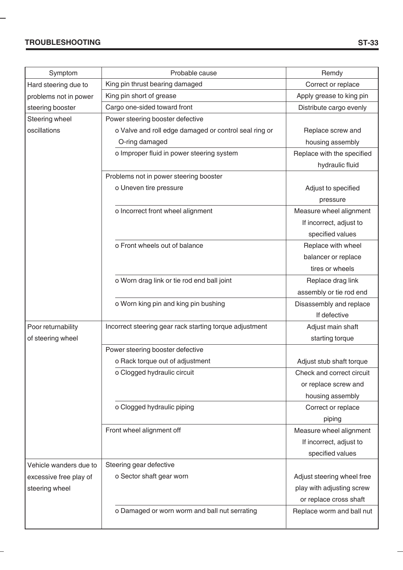### **TROUBLESHOOTING**

۰

|                        | Probable cause                                          |                                                |
|------------------------|---------------------------------------------------------|------------------------------------------------|
| Symptom                | King pin thrust bearing damaged                         | Remdy                                          |
| Hard steering due to   | King pin short of grease                                | Correct or replace<br>Apply grease to king pin |
| problems not in power  |                                                         |                                                |
| steering booster       | Cargo one-sided toward front                            | Distribute cargo evenly                        |
| Steering wheel         | Power steering booster defective                        |                                                |
| oscillations           | o Valve and roll edge damaged or control seal ring or   | Replace screw and                              |
|                        | O-ring damaged                                          | housing assembly                               |
|                        | o Improper fluid in power steering system               | Replace with the specified                     |
|                        |                                                         | hydraulic fluid                                |
|                        | Problems not in power steering booster                  |                                                |
|                        | o Uneven tire pressure                                  | Adjust to specified                            |
|                        |                                                         | pressure                                       |
|                        | o Incorrect front wheel alignment                       | Measure wheel alignment                        |
|                        |                                                         | If incorrect, adjust to                        |
|                        |                                                         | specified values                               |
|                        | o Front wheels out of balance                           | Replace with wheel                             |
|                        |                                                         | balancer or replace                            |
|                        |                                                         | tires or wheels                                |
|                        | o Worn drag link or tie rod end ball joint              | Replace drag link                              |
|                        |                                                         | assembly or tie rod end                        |
|                        | o Worn king pin and king pin bushing                    | Disassembly and replace                        |
|                        |                                                         | If defective                                   |
| Poor returnability     | Incorrect steering gear rack starting torque adjustment | Adjust main shaft                              |
| of steering wheel      |                                                         | starting torque                                |
|                        | Power steering booster defective                        |                                                |
|                        | o Rack torque out of adjustment                         | Adjust stub shaft torque                       |
|                        | o Clogged hydraulic circuit                             | Check and correct circuit                      |
|                        |                                                         | or replace screw and                           |
|                        |                                                         | housing assembly                               |
|                        | o Clogged hydraulic piping                              | Correct or replace                             |
|                        |                                                         | piping                                         |
|                        | Front wheel alignment off                               | Measure wheel alignment                        |
|                        |                                                         | If incorrect, adjust to                        |
|                        |                                                         | specified values                               |
| Vehicle wanders due to | Steering gear defective                                 |                                                |
| excessive free play of | o Sector shaft gear worn                                | Adjust steering wheel free                     |
| steering wheel         |                                                         | play with adjusting screw                      |
|                        |                                                         | or replace cross shaft                         |
|                        | o Damaged or worn worm and ball nut serrating           | Replace worm and ball nut                      |
|                        |                                                         |                                                |
|                        |                                                         |                                                |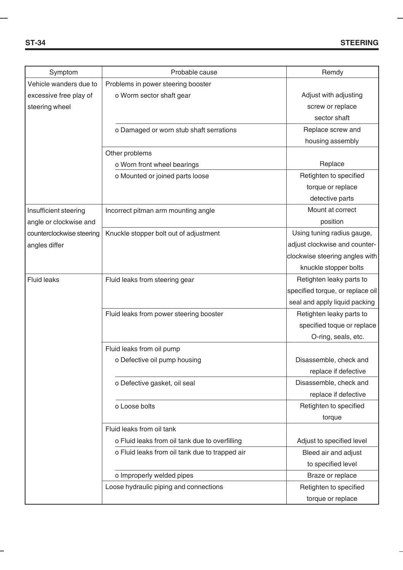÷

| Symptom                   | Probable cause                                 | Remdy                            |
|---------------------------|------------------------------------------------|----------------------------------|
| Vehicle wanders due to    | Problems in power steering booster             |                                  |
| excessive free play of    | o Worm sector shaft gear                       | Adjust with adjusting            |
| steering wheel            |                                                | screw or replace                 |
|                           |                                                | sector shaft                     |
|                           | o Damaged or worn stub shaft serrations        | Replace screw and                |
|                           |                                                | housing assembly                 |
|                           | Other problems                                 |                                  |
|                           | o Worn front wheel bearings                    | Replace                          |
|                           | o Mounted or joined parts loose                | Retighten to specified           |
|                           |                                                | torque or replace                |
|                           |                                                | detective parts                  |
| Insufficient steering     | Incorrect pitman arm mounting angle            | Mount at correct                 |
| angle or clockwise and    |                                                | position                         |
| counterclockwise steering | Knuckle stopper bolt out of adjustment         | Using tuning radius gauge,       |
| angles differ             |                                                | adjust clockwise and counter-    |
|                           |                                                | clockwise steering angles with   |
|                           |                                                | knuckle stopper bolts            |
| <b>Fluid leaks</b>        | Fluid leaks from steering gear                 | Retighten leaky parts to         |
|                           |                                                | specified torque, or replace oil |
|                           |                                                | seal and apply liquid packing    |
|                           | Fluid leaks from power steering booster        | Retighten leaky parts to         |
|                           |                                                | specified toque or replace       |
|                           |                                                | O-ring, seals, etc.              |
|                           | Fluid leaks from oil pump                      |                                  |
|                           | o Defective oil pump housing                   | Disassemble, check and           |
|                           |                                                | replace if defective             |
|                           | o Defective gasket, oil seal                   | Disassemble, check and           |
|                           |                                                | replace if defective             |
|                           | o Loose bolts                                  | Retighten to specified           |
|                           |                                                | torque                           |
|                           | Fluid leaks from oil tank                      |                                  |
|                           | o Fluid leaks from oil tank due to overfilling | Adjust to specified level        |
|                           | o Fluid leaks from oil tank due to trapped air | Bleed air and adjust             |
|                           |                                                | to specified level               |
|                           | o Improperly welded pipes                      | Braze or replace                 |
|                           | Loose hydraulic piping and connections         | Retighten to specified           |
|                           |                                                | torque or replace                |